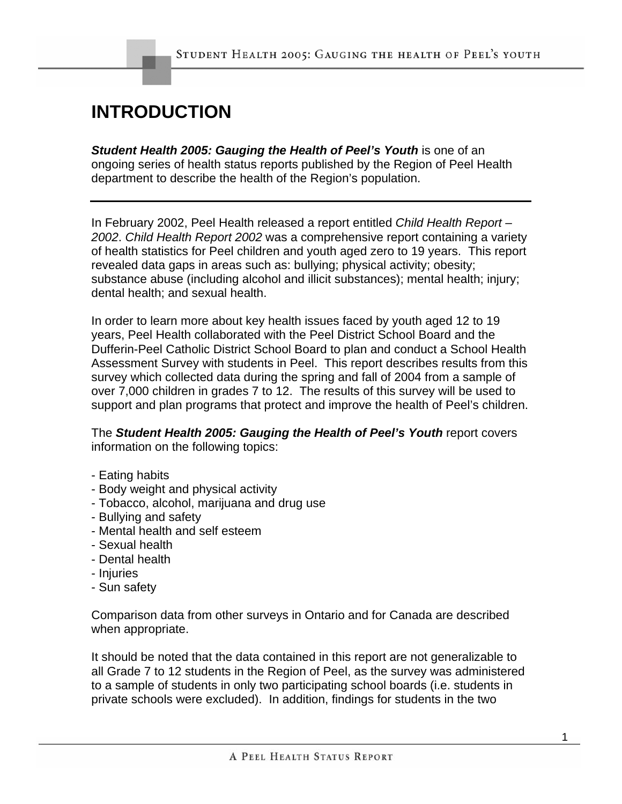## **INTRODUCTION**

*Student Health 2005: Gauging the Health of Peel's Youth* is one of an ongoing series of health status reports published by the Region of Peel Health department to describe the health of the Region's population.

In February 2002, Peel Health released a report entitled *Child Health Report – 2002*. *Child Health Report 2002* was a comprehensive report containing a variety of health statistics for Peel children and youth aged zero to 19 years. This report revealed data gaps in areas such as: bullying; physical activity; obesity; substance abuse (including alcohol and illicit substances); mental health; injury; dental health; and sexual health.

In order to learn more about key health issues faced by youth aged 12 to 19 years, Peel Health collaborated with the Peel District School Board and the Dufferin-Peel Catholic District School Board to plan and conduct a School Health Assessment Survey with students in Peel. This report describes results from this survey which collected data during the spring and fall of 2004 from a sample of over 7,000 children in grades 7 to 12. The results of this survey will be used to support and plan programs that protect and improve the health of Peel's children.

The *Student Health 2005: Gauging the Health of Peel's Youth* report covers information on the following topics:

- Eating habits
- Body weight and physical activity
- Tobacco, alcohol, marijuana and drug use
- Bullying and safety
- Mental health and self esteem
- Sexual health
- Dental health
- Injuries
- Sun safety

Comparison data from other surveys in Ontario and for Canada are described when appropriate.

It should be noted that the data contained in this report are not generalizable to all Grade 7 to 12 students in the Region of Peel, as the survey was administered to a sample of students in only two participating school boards (i.e. students in private schools were excluded). In addition, findings for students in the two